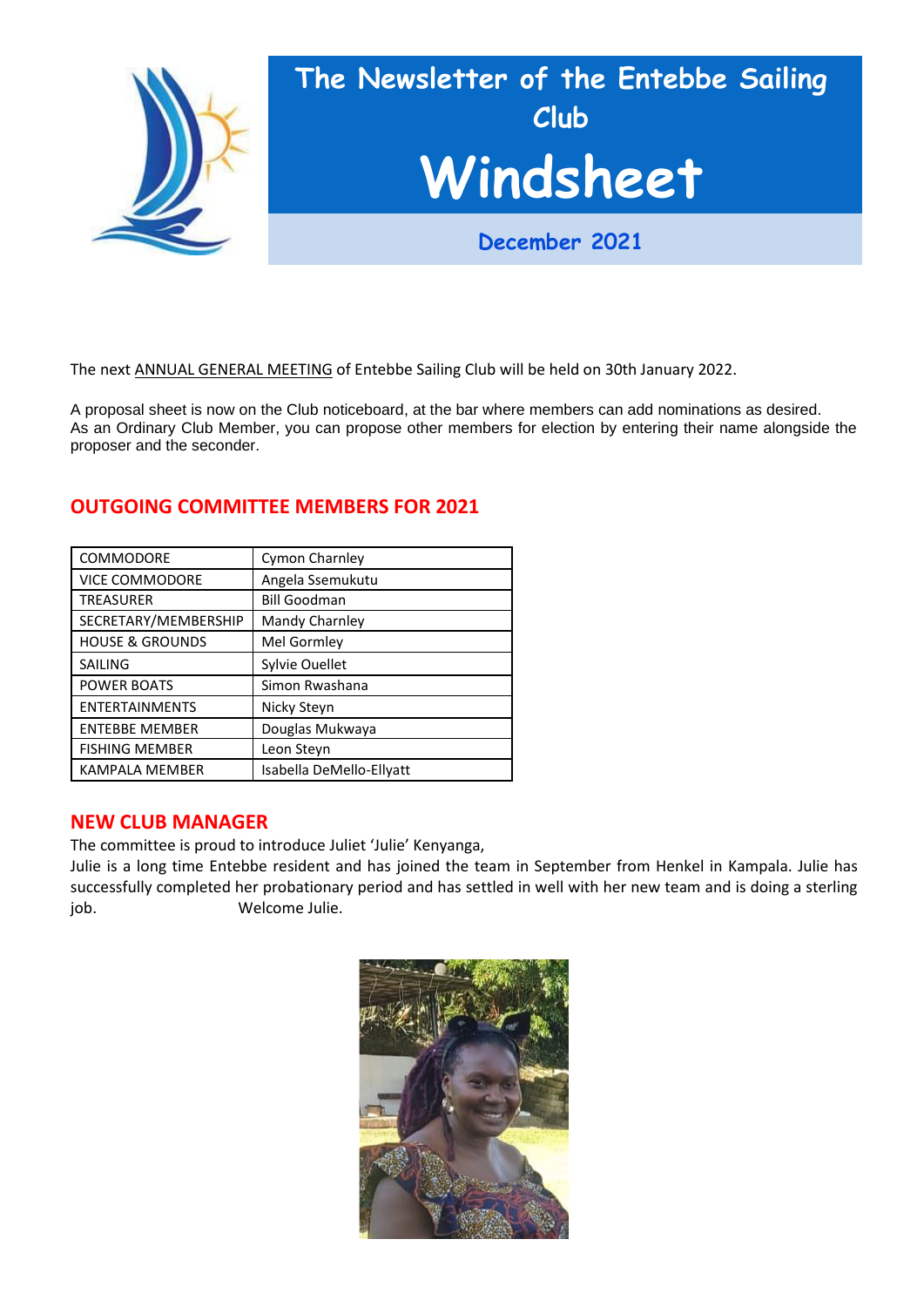

The next ANNUAL GENERAL MEETING of Entebbe Sailing Club will be held on 30th January 2022.

A proposal sheet is now on the Club noticeboard, at the bar where members can add nominations as desired. As an Ordinary Club Member, you can propose other members for election by entering their name alongside the proposer and the seconder.

| COMMODORE                  | Cymon Charnley           |
|----------------------------|--------------------------|
| <b>VICE COMMODORE</b>      | Angela Ssemukutu         |
| <b>TREASURER</b>           | <b>Bill Goodman</b>      |
| SECRETARY/MEMBERSHIP       | Mandy Charnley           |
| <b>HOUSE &amp; GROUNDS</b> | Mel Gormley              |
| <b>SAILING</b>             | Sylvie Ouellet           |
| <b>POWER BOATS</b>         | Simon Rwashana           |
| <b>ENTERTAINMENTS</b>      | Nicky Steyn              |
| <b>ENTEBBE MEMBER</b>      | Douglas Mukwaya          |
| <b>FISHING MEMBER</b>      | Leon Steyn               |
| <b>KAMPALA MEMBER</b>      | Isabella DeMello-Ellyatt |

# **OUTGOING COMMITTEE MEMBERS FOR 2021**

#### **NEW CLUB MANAGER**

The committee is proud to introduce Juliet 'Julie' Kenyanga,

Julie is a long time Entebbe resident and has joined the team in September from Henkel in Kampala. Julie has successfully completed her probationary period and has settled in well with her new team and is doing a sterling job. Welcome Julie.

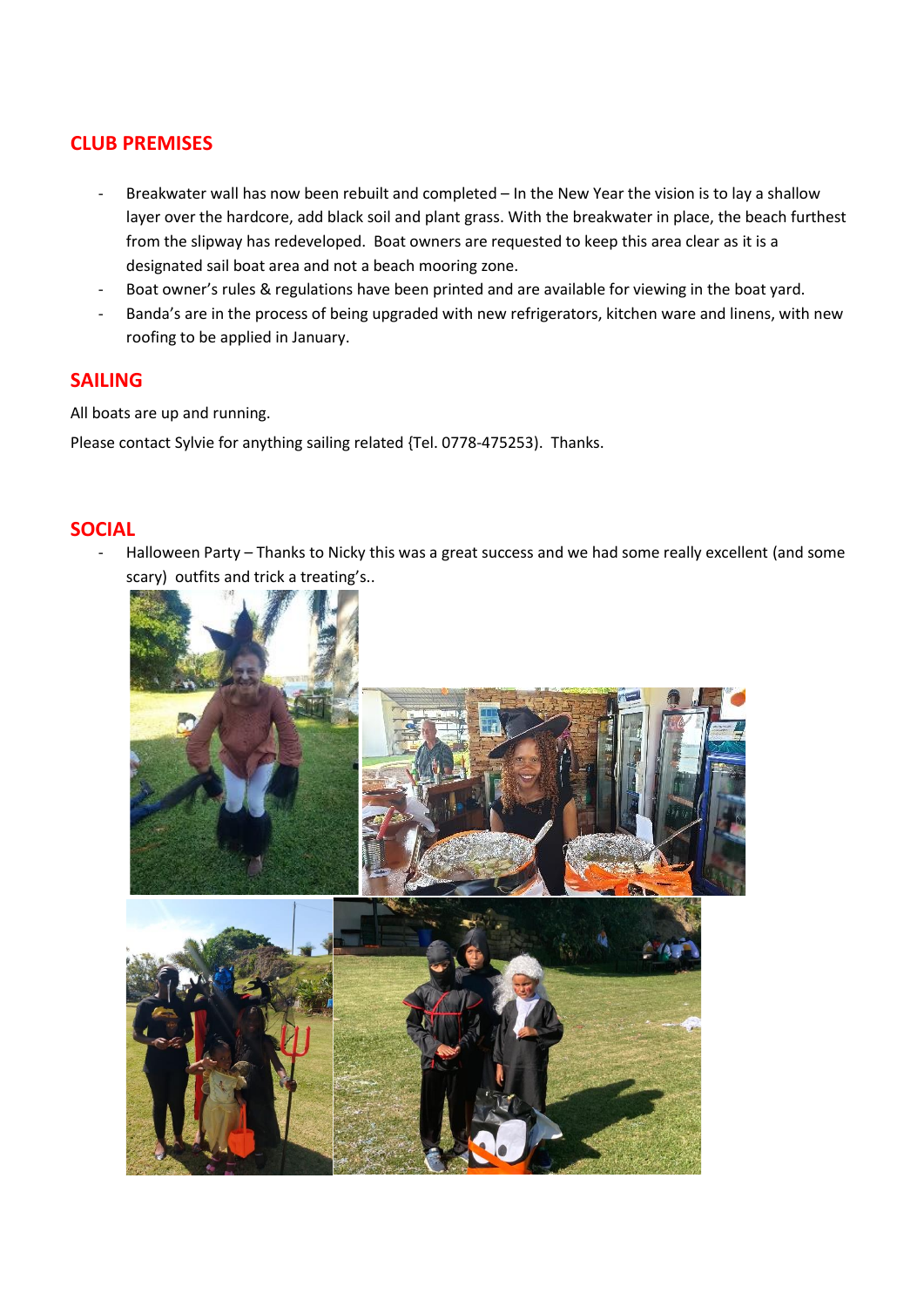# **CLUB PREMISES**

- Breakwater wall has now been rebuilt and completed In the New Year the vision is to lay a shallow layer over the hardcore, add black soil and plant grass. With the breakwater in place, the beach furthest from the slipway has redeveloped. Boat owners are requested to keep this area clear as it is a designated sail boat area and not a beach mooring zone.
- Boat owner's rules & regulations have been printed and are available for viewing in the boat yard.
- Banda's are in the process of being upgraded with new refrigerators, kitchen ware and linens, with new roofing to be applied in January.

#### **SAILING**

All boats are up and running.

Please contact Sylvie for anything sailing related {Tel. 0778-475253). Thanks.

## **SOCIAL**

Halloween Party – Thanks to Nicky this was a great success and we had some really excellent (and some scary) outfits and trick a treating's..

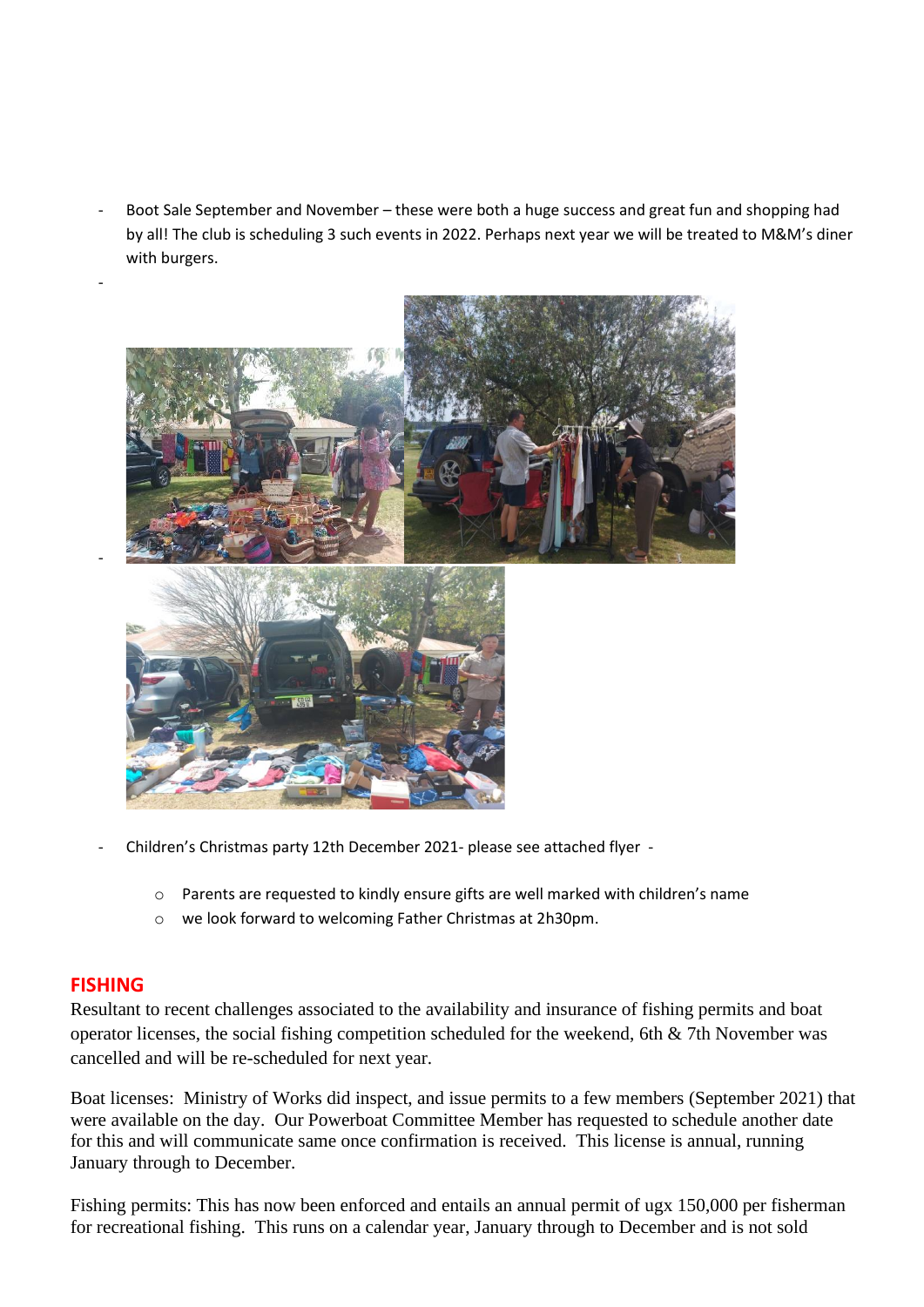Boot Sale September and November – these were both a huge success and great fun and shopping had by all! The club is scheduling 3 such events in 2022. Perhaps next year we will be treated to M&M's diner with burgers.



- Children's Christmas party 12th December 2021- please see attached flyer
	- o Parents are requested to kindly ensure gifts are well marked with children's name
	- o we look forward to welcoming Father Christmas at 2h30pm.

## **FISHING**

Resultant to recent challenges associated to the availability and insurance of fishing permits and boat operator licenses, the social fishing competition scheduled for the weekend, 6th & 7th November was cancelled and will be re-scheduled for next year.

Boat licenses: Ministry of Works did inspect, and issue permits to a few members (September 2021) that were available on the day. Our Powerboat Committee Member has requested to schedule another date for this and will communicate same once confirmation is received. This license is annual, running January through to December.

Fishing permits: This has now been enforced and entails an annual permit of ugx 150,000 per fisherman for recreational fishing. This runs on a calendar year, January through to December and is not sold